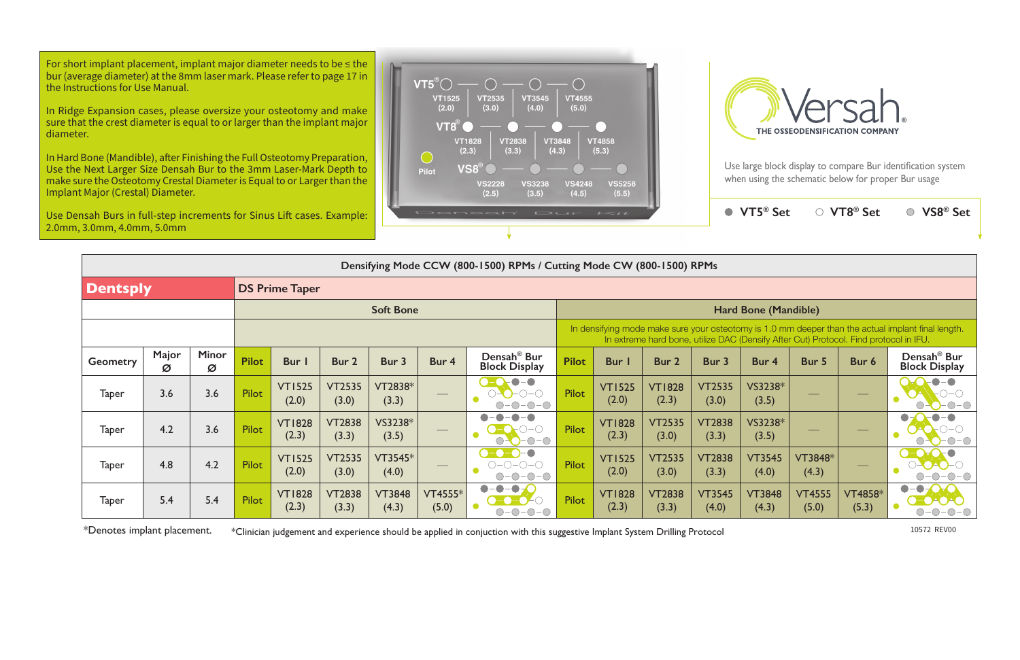Use large block display to compare Bur identification system when using the schematic below for proper Bur usage

**VT5® Set VT8® Set VS8® Set**

| Densifying Mode CCW (800-1500) RPMs / Cutting Mode CW (800-1500) RPMs |            |                   |                       |                        |                        |                        |                                |                                                                                                                                                                                             |              |                        |                        |                        |                        |                        |                         |                                                 |  |  |
|-----------------------------------------------------------------------|------------|-------------------|-----------------------|------------------------|------------------------|------------------------|--------------------------------|---------------------------------------------------------------------------------------------------------------------------------------------------------------------------------------------|--------------|------------------------|------------------------|------------------------|------------------------|------------------------|-------------------------|-------------------------------------------------|--|--|
| <b>Dentsply</b>                                                       |            |                   | <b>DS Prime Taper</b> |                        |                        |                        |                                |                                                                                                                                                                                             |              |                        |                        |                        |                        |                        |                         |                                                 |  |  |
|                                                                       |            |                   | <b>Soft Bone</b>      |                        |                        |                        |                                |                                                                                                                                                                                             |              | Hard Bone (Mandible)   |                        |                        |                        |                        |                         |                                                 |  |  |
|                                                                       |            |                   |                       |                        |                        |                        |                                | In densifying mode make sure your osteotomy is 1.0 mm deeper than the actual implant final length.<br>In extreme hard bone, utilize DAC (Densify After Cut) Protocol. Find protocol in IFU. |              |                        |                        |                        |                        |                        |                         |                                                 |  |  |
| <b>Geometry</b>                                                       | Major<br>Ø | <b>Minor</b><br>Ø | <b>Pilot</b>          | <b>Bur</b>             | Bur 2                  | Bur 3                  | Bur 4                          | Densah <sup>®</sup> Bur<br><b>Block Display</b>                                                                                                                                             | <b>Pilot</b> | <b>Bur</b> I           | Bur 2                  | Bur 3                  | Bur 4                  | Bur 5                  | Bur 6                   | Densah <sup>®</sup> Bur<br><b>Block Display</b> |  |  |
| <b>Taper</b>                                                          | 3.6        | 3.6               | <b>Pilot</b>          | <b>VT1525</b><br>(2.0) | <b>VT2535</b><br>(3.0) | VT2838*<br>(3.3)       | $\overbrace{\hspace{25mm}}^{}$ |                                                                                                                                                                                             | Pilot        | <b>VT1525</b><br>(2.0) | <b>VT1828</b><br>(2.3) | <b>VT2535</b><br>(3.0) | VS3238*<br>(3.5)       |                        |                         |                                                 |  |  |
| <b>Taper</b>                                                          | 4.2        | 3.6               | Pilot                 | <b>VT1828</b><br>(2.3) | <b>VT2838</b><br>(3.3) | VS3238*<br>(3.5)       | $\overbrace{\hspace{25mm}}^{}$ |                                                                                                                                                                                             | <b>Pilot</b> | <b>VT1828</b><br>(2.3) | <b>VT2535</b><br>(3.0) | <b>VT2838</b><br>(3.3) | VS3238*<br>(3.5)       |                        |                         |                                                 |  |  |
| <b>Taper</b>                                                          | 4.8        | 4.2               | Pilot                 | <b>VT1525</b><br>(2.0) | <b>VT2535</b><br>(3.0) | $VT3545*$<br>(4.0)     |                                | ◯→⊂ )→∈ )→∈ )<br>$O-O-O-O$                                                                                                                                                                  | <b>Pilot</b> | <b>VT1525</b><br>(2.0) | <b>VT2535</b><br>(3.0) | <b>VT2838</b><br>(3.3) | <b>VT3545</b><br>(4.0) | VT3848*<br>(4.3)       | $-$                     |                                                 |  |  |
| <b>Taper</b>                                                          | 5.4        | 5.4               | <b>Pilot</b>          | <b>VT1828</b><br>(2.3) | <b>VT2838</b><br>(3.3) | <b>VT3848</b><br>(4.3) | VT4555*<br>(5.0)               | $\bullet$<br>-0-<br>$\bullet$                                                                                                                                                               | <b>Pilot</b> | <b>VT1828</b><br>(2.3) | <b>VT2838</b><br>(3.3) | <b>VT3545</b><br>(4.0) | <b>VT3848</b><br>(4.3) | <b>VT4555</b><br>(5.0) | <b>VT4858*</b><br>(5.3) |                                                 |  |  |

\*Denotes implant placement. \*Clinician judgement and experience should be applied in conjuction with this suggestive Implant System Drilling Protocol 10572 REV00

For short implant placement, implant major diameter needs to be  $\leq$  the bur (average diameter) at the 8mm laser mark. Please refer to page 17 in the Instructions for Use Manual.

In Ridge Expansion cases, please oversize your osteotomy and make sure that the crest diameter is equal to or larger than the implant major diameter.

In Hard Bone (Mandible), after Finishing the Full Osteotomy Preparation, Use the Next Larger Size Densah Bur to the 3mm Laser-Mark Depth to make sure the Osteotomy Crestal Diameter is Equal to or Larger than the Implant Major (Crestal) Diameter.

Use Densah Burs in full-step increments for Sinus Lift cases. Example: 2.0mm, 3.0mm, 4.0mm, 5.0mm